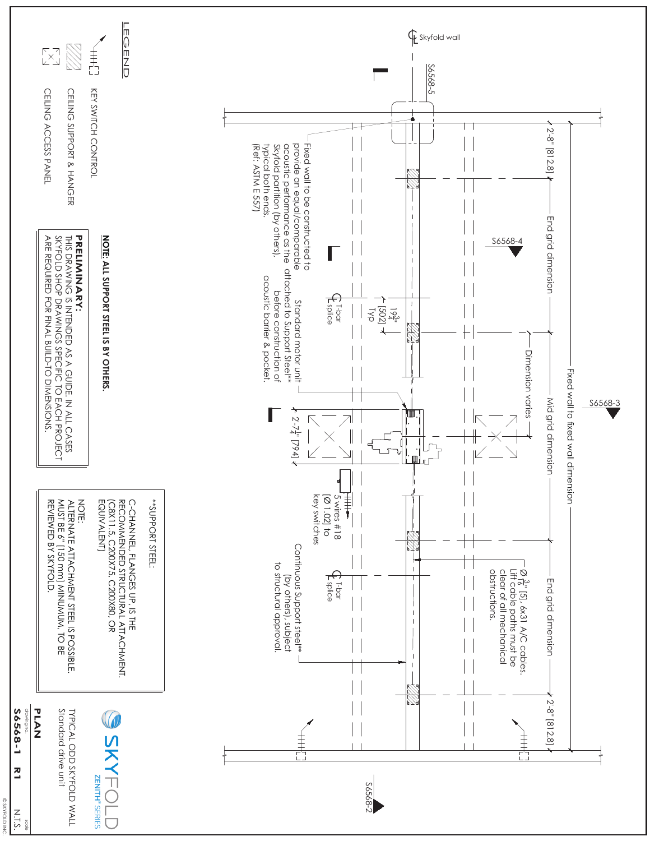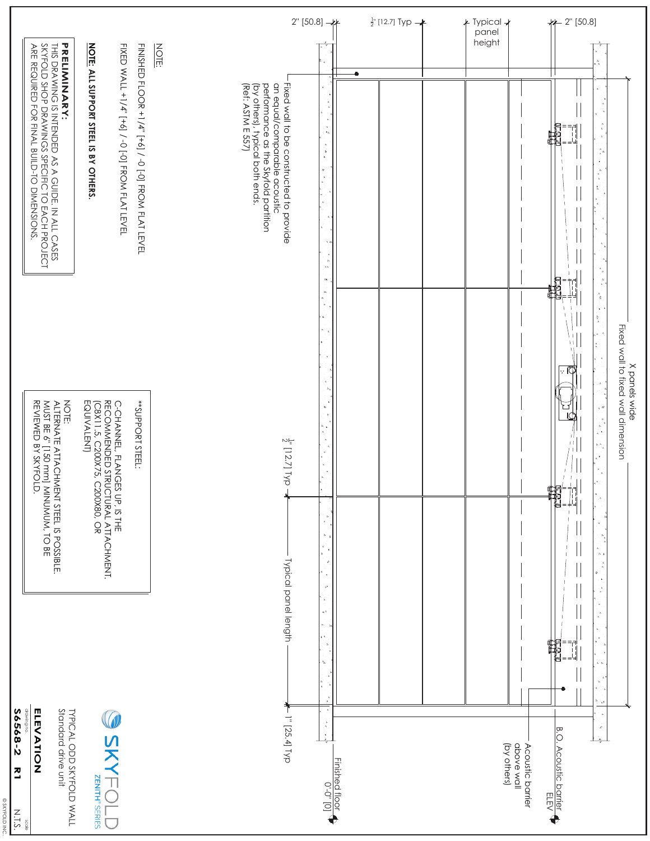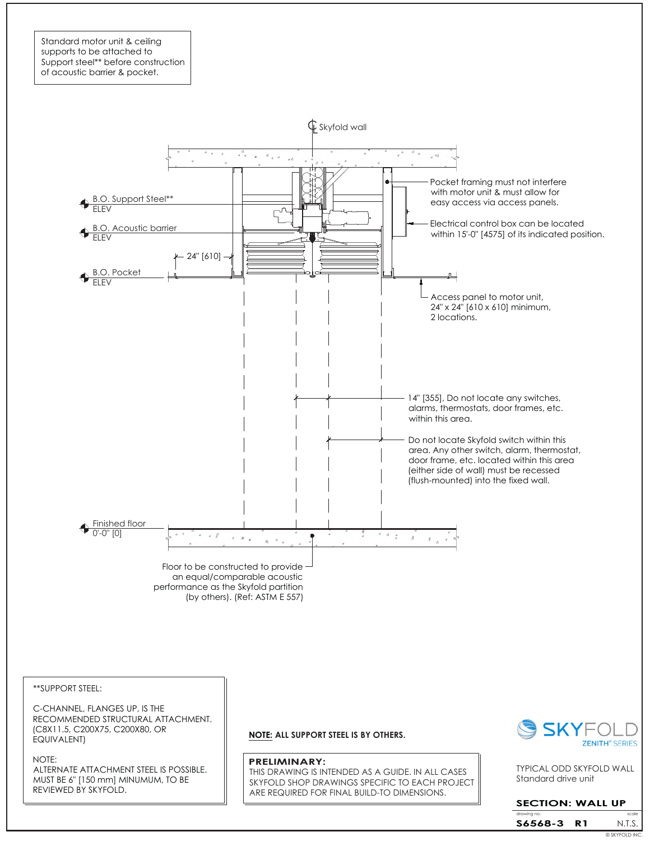Standard motor unit & ceiling supports to be attached to Support steel\*\* before construction of acoustic barrier & pocket.



\*\*SUPPORT STEEL:

C-CHANNEL, FLANGES UP, IS THE RECOMMENDED STRUCTURAL ATTACHMENT. (C8X11.5, C200X75, C200X80, OR EQUIVALENT)

NOTE:

ALTERNATE ATTACHMENT STEEL IS POSSIBLE. MUST BE 6" [150 mm] MINUMUM, TO BE REVIEWED BY SKYFOLD.

**NOTE: ALL SUPPORT STEEL IS BY OTHERS.**

#### **PRELIMINARY:**

THIS DRAWING IS INTENDED AS A GUIDE. IN ALL CASES SKYFOLD SHOP DRAWINGS SPECIFIC TO EACH PROJECT ARE REQUIRED FOR FINAL BUILD-TO DIMENSIONS.



Standard drive unit TYPICAL ODD SKYFOLD WALL

### **SECTION: WALL UP**

drawing no. Scale is a set of the scale scale in the scale scale N.T.S. **S6568-3 R1** © SKYFOLD INC.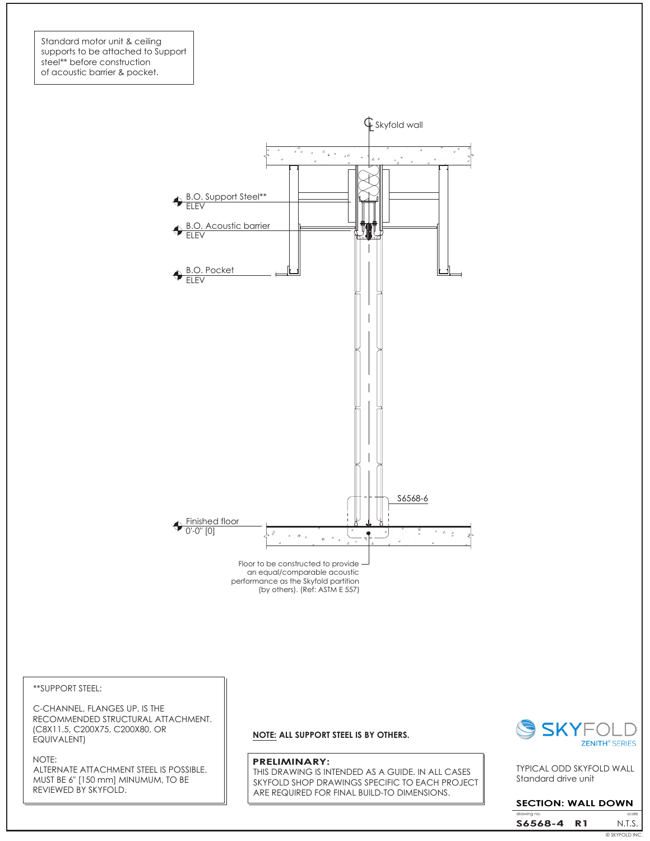Standard motor unit & ceiling supports to be attached to Support steel\*\* before construction of acoustic barrier & pocket.



\*\*SUPPORT STEEL:

C-CHANNEL, FLANGES UP, IS THE RECOMMENDED STRUCTURAL ATTACHMENT. (C8X11.5, C200X75, C200X80, OR EQUIVALENT)

NOTE: ALTERNATE ATTACHMENT STEEL IS POSSIBLE. MUST BE 6" [150 mm] MINUMUM, TO BE REVIEWED BY SKYFOLD.

### **NOTE: ALL SUPPORT STEEL IS BY OTHERS.**

#### **PRELIMINARY:**

THIS DRAWING IS INTENDED AS A GUIDE. IN ALL CASES SKYFOLD SHOP DRAWINGS SPECIFIC TO EACH PROJECT ARE REQUIRED FOR FINAL BUILD-TO DIMENSIONS.



Standard drive unit TYPICAL ODD SKYFOLD WALL

# **SECTION: WALL DOWN**

drawing N.T.S. **S6568-4 R1** © SKYFOLD INC.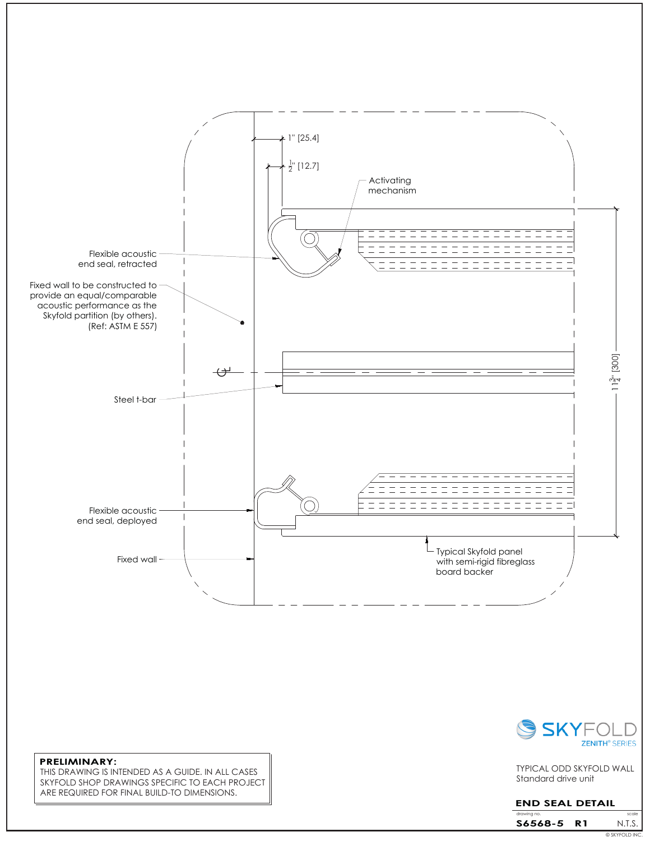

**PRELIMINARY:** THIS DRAWING IS INTENDED AS A GUIDE. IN ALL CASES SKYFOLD SHOP DRAWINGS SPECIFIC TO EACH PROJECT ARE REQUIRED FOR FINAL BUILD-TO DIMENSIONS.



Standard drive unit TYPICAL ODD SKYFOLD WALL

## **END SEAL DETAIL**

| drawing no. |     | scale          |
|-------------|-----|----------------|
| S6568-5     | R 1 | N.T.S.         |
|             |     | © SKYFOLD INC. |